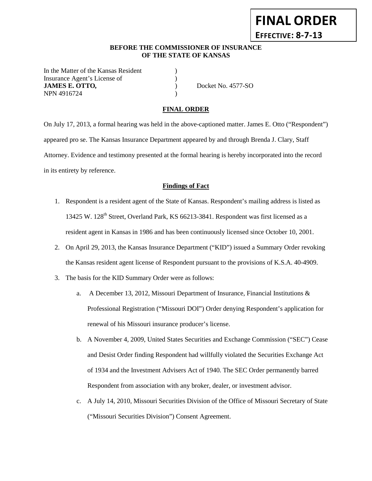### **BEFORE THE COMMISSIONER OF INSURANCE OF THE STATE OF KANSAS**

In the Matter of the Kansas Resident ) Insurance Agent's License of  $\qquad \qquad$  ) **JAMES E. OTTO**, Docket No. 4577-SO NPN 4916724

**FINAL ORDER**

**EFFECTIVE: 8-7-13**

#### **FINAL ORDER**

On July 17, 2013, a formal hearing was held in the above-captioned matter. James E. Otto ("Respondent") appeared pro se. The Kansas Insurance Department appeared by and through Brenda J. Clary, Staff Attorney. Evidence and testimony presented at the formal hearing is hereby incorporated into the record in its entirety by reference.

#### **Findings of Fact**

- 1. Respondent is a resident agent of the State of Kansas. Respondent's mailing address is listed as 13425 W. 128<sup>th</sup> Street, Overland Park, KS 66213-3841. Respondent was first licensed as a resident agent in Kansas in 1986 and has been continuously licensed since October 10, 2001.
- 2. On April 29, 2013, the Kansas Insurance Department ("KID") issued a Summary Order revoking the Kansas resident agent license of Respondent pursuant to the provisions of K.S.A. 40-4909.
- 3. The basis for the KID Summary Order were as follows:
	- a. A December 13, 2012, Missouri Department of Insurance, Financial Institutions & Professional Registration ("Missouri DOI") Order denying Respondent's application for renewal of his Missouri insurance producer's license.
	- b. A November 4, 2009, United States Securities and Exchange Commission ("SEC") Cease and Desist Order finding Respondent had willfully violated the Securities Exchange Act of 1934 and the Investment Advisers Act of 1940. The SEC Order permanently barred Respondent from association with any broker, dealer, or investment advisor.
	- c. A July 14, 2010, Missouri Securities Division of the Office of Missouri Secretary of State ("Missouri Securities Division") Consent Agreement.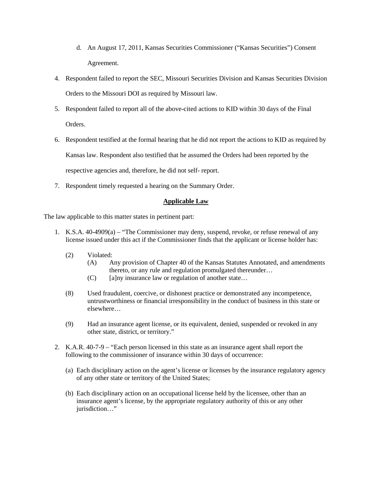- d. An August 17, 2011, Kansas Securities Commissioner ("Kansas Securities") Consent Agreement.
- 4. Respondent failed to report the SEC, Missouri Securities Division and Kansas Securities Division Orders to the Missouri DOI as required by Missouri law.
- 5. Respondent failed to report all of the above-cited actions to KID within 30 days of the Final Orders.
- 6. Respondent testified at the formal hearing that he did not report the actions to KID as required by Kansas law. Respondent also testified that he assumed the Orders had been reported by the respective agencies and, therefore, he did not self- report.
- 7. Respondent timely requested a hearing on the Summary Order.

# **Applicable Law**

The law applicable to this matter states in pertinent part:

- 1. K.S.A. 40-4909(a) "The Commissioner may deny, suspend, revoke, or refuse renewal of any license issued under this act if the Commissioner finds that the applicant or license holder has:
	- (2) Violated:
		- (A) Any provision of Chapter 40 of the Kansas Statutes Annotated, and amendments thereto, or any rule and regulation promulgated thereunder…
		- $(C)$  [a]ny insurance law or regulation of another state...
	- (8) Used fraudulent, coercive, or dishonest practice or demonstrated any incompetence, untrustworthiness or financial irresponsibility in the conduct of business in this state or elsewhere…
	- (9) Had an insurance agent license, or its equivalent, denied, suspended or revoked in any other state, district, or territory."
- 2. K.A.R. 40-7-9 "Each person licensed in this state as an insurance agent shall report the following to the commissioner of insurance within 30 days of occurrence:
	- (a) Each disciplinary action on the agent's license or licenses by the insurance regulatory agency of any other state or territory of the United States;
	- (b) Each disciplinary action on an occupational license held by the licensee, other than an insurance agent's license, by the appropriate regulatory authority of this or any other jurisdiction..."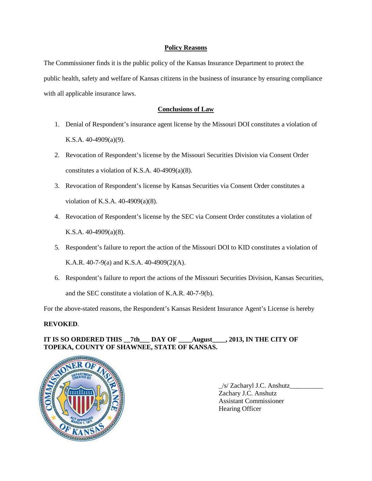#### **Policy Reasons**

The Commissioner finds it is the public policy of the Kansas Insurance Department to protect the public health, safety and welfare of Kansas citizens in the business of insurance by ensuring compliance with all applicable insurance laws.

### **Conclusions of Law**

- 1. Denial of Respondent's insurance agent license by the Missouri DOI constitutes a violation of K.S.A. 40-4909(a)(9).
- 2. Revocation of Respondent's license by the Missouri Securities Division via Consent Order constitutes a violation of K.S.A. 40-4909(a)(8).
- 3. Revocation of Respondent's license by Kansas Securities via Consent Order constitutes a violation of K.S.A. 40-4909(a)(8).
- 4. Revocation of Respondent's license by the SEC via Consent Order constitutes a violation of K.S.A. 40-4909(a)(8).
- 5. Respondent's failure to report the action of the Missouri DOI to KID constitutes a violation of K.A.R. 40-7-9(a) and K.S.A. 40-4909(2)(A).
- 6. Respondent's failure to report the actions of the Missouri Securities Division, Kansas Securities, and the SEC constitute a violation of K.A.R. 40-7-9(b).

For the above-stated reasons, the Respondent's Kansas Resident Insurance Agent's License is hereby

### **REVOKED**.

# **IT IS SO ORDERED THIS \_\_7th\_\_\_ DAY OF \_\_\_\_August\_\_\_\_, 2013, IN THE CITY OF TOPEKA, COUNTY OF SHAWNEE, STATE OF KANSAS.**



 $\frac{1}{s}$  Zacharyl J.C. Anshutz Zachary J.C. Anshutz Assistant Commissioner Hearing Officer